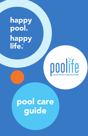happy pool. happy life.



# pool care<br>guide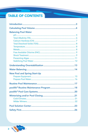# TABLE OF CONTENTS

| <b>Balancing Pool Water</b><br><b>New Pool and Spring Start-Up</b> |
|--------------------------------------------------------------------|
|                                                                    |
|                                                                    |
|                                                                    |
|                                                                    |
|                                                                    |
|                                                                    |
|                                                                    |
|                                                                    |
|                                                                    |
|                                                                    |
|                                                                    |
|                                                                    |
|                                                                    |
|                                                                    |
|                                                                    |
|                                                                    |
|                                                                    |
|                                                                    |
|                                                                    |
|                                                                    |
|                                                                    |
|                                                                    |
|                                                                    |
|                                                                    |
|                                                                    |

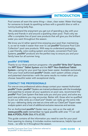# **INTRODUCTION**

Pool owners all want the same thing— clean, clear water. Water that begs for someone to break its sparkling surface with a graceful dive or with a tummy-busting belly flop.

We understand the enjoyment you get out of spending a day with your family and friends in and around a sparkling clean pool. That's why we offer a complete line of pool care products that will give you the brilliant water you want throughout the season.

We know you'd rather spend time enjoying your pool than maintaining it, so we've made it easier than ever to use poolife® Exclusive Pool Care Collection\* pool care products. With easy-to-understand packaging, a user-friendly, color-coding system and simple, convenient Pool Care Systems, **poolife<sup>®</sup>** products are the perfect way to ensure you and your family have fun all summer long.

# poolife® SYSTEMS

Thanks to our three premium programs—the poolife® Brite Stix® System, the MPT Extra™ Tablet System and the NST® Non-Stabilized Tablet System—caring for your pool has never been easier. Available exclusively from your local authorized **poolife<sup>®</sup> Dealer**, each system utilizes unique and patented chemistries—with the same results no matter which you choose: beautiful water with exceptional clarity.

# CONTACT THE PROFESSIONALS

For one-on-one professional advice always contact your nearest Authorized poolife® Dealer. poolife® Dealers are trained professionals with the knowledge and expertise to answer all your questions on pool care, recommend the poolife® Pool Care System that best suits you and your pool, and solve any pool care problems you may encounter. Better still, those who've qualified to join our elite ranks as a ClearCare® Dealer can really go the extra mile for you—delivering clarity one test at a time with our ClearCare® Expert water analysis system and a host of additional exclusive resources and services.

For an Authorized poolife® Dealer near you, visit us on the web at www.poolife.com (remember to type poolife with one "l") or call 866.4.POOL.FUN (866.476.6538).

This guide contains all the information you need to care for your pool from opening to closing. It includes routine maintenance, helpful tips and more... so refer to it throughout the season.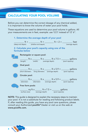# CALCULATING YOUR POOL VOLUME

Before you can determine the correct dosage of any chemical added, it is important to know the volume of water your pool holds.

These equations are used to determine your pool volume in gallons. All your measurements are in feet, example: use 12.5' instead of 12' 6".

# 1. Determine the average depth of your pool

| (deep end depth) | (shallow end depth) | (average depth) |
|------------------|---------------------|-----------------|

### 2. Calculate your pool's capacity using one of the formulas below



NOTE: This guide is designed to explain the necessary steps to maintain your pool. It is not a substitute for reading and following product labels. If, after reading this guide, you have any pool care questions, please consult your Authorized poolife® Dealer or visit us on the web at www.poolife.com.

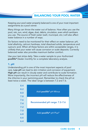Keeping your pool water properly balanced is one of your most important assignments as a pool owner.

Many things can throw the water out of balance. How often you use the pool, rain, sun, wind, algae, dust, debris, circulation, even which sanitizers you use. The source of fresh water (well, municipal, etc.) will also affect water balance in a number of ways.

Six factors need to be monitored for their effect on water balance: pH, total alkalinity, calcium hardness, total dissolved solids, temperature and cyanuric acid. When all these factors are within acceptable ranges, it is unlikely that your water will cause corrosion or scale deposits. Correctly balanced water also provides maximum bather comfort.

Use your test strips daily. Take a water sample to your Authorized poollife® Dealer monthly for a complete laboratory analysis.

### 1. pH

Understanding pH is one of the most important aspects of pool care. Low pH can lead to skin irritation and corrosion of equipment. High pH can result in cloudy water and contribute to scale formation. More importantly, the incorrect pH will reduce the effectiveness of the chlorine in your swimming pool. Remember to check the pH at least twice a week. The ideal range is between 7.2 and 7.6.

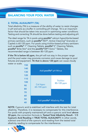# 2. TOTAL ALKALINITY (TA)

Total alkalinity (TA) is a measure of the ability of water to resist changes in pH and acts as a buffer in controlling pH change. TA is an important factor that should be taken into account in optimizing water conditions. Testing and correcting TA should be done before testing and adjusting pH.

The ideal range for TA in pools using poolife® calcium hypochlorite-based primary sanitizers, such as **poolife®** NST®, Active Cleaning® Granules or Caplets is 60-120 ppm. For pools using trichlor-based primary sanitizers such as poolife<sup>®</sup> 1" Cleaning Tablets, poolife<sup>®</sup> 3" Cleaning Tablets, poolife<sup>®</sup> Brite Stix<sup>®</sup> and the poolife<sup>®</sup> MPT Extra™ Tablets, the recommended range is between 80–120 ppm.

If the TA is below 60 ppm, the pH will not stay in the proper range and the pool water may promote corrosion and cause damage to pool fixtures and equipment. TA that is above 120 ppm can cause cloudy water or scale.



NOTE: Cyanuric acid (a stabilizer) will interfere with the test for total alkalinity. Therefore, it is necessary to compensate for this interference. For pools with properly maintained pH and a cyanuric acid level above 30 ppm, the correction formula is: Tested Total Alkalinity Result - 1/3 Cyanuric Acid Reading = TRUE TOTAL ALKALINITY. In other words, subtract one-third of the cyanuric acid reading from the tested total alkalinity reading to compensate for the interference.

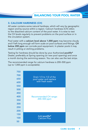# 3. CALCIUM HARDNESS (CH)

All water contains some natural hardness, which will vary by geographic region and by source within a region. Calcium hardness (CH) refers to the dissolved calcium content of the pool water. It is wise to test the CH levels regularly to prevent problems on the pool surface or in the circulation system.

Pool water with a calcium level above 1,000 ppm may become cloudy and if left long enough will form scale on pool surfaces and fittings. CH below 200 ppm can corrode pool equipment. In plaster pools it may result in pitting or etching problems.

Testing for hardness should be done by your Authorized **poolife**<sup>®</sup> Dealer, preferably at Spring opening (or new pool opening) and once a month during the swimming season. You can also use the test strips.

The recommended range for calcium hardness is 200–500 ppm (up to 1,000 ppm is acceptable).

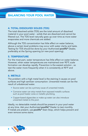# 4. TOTAL DISSOLVED SOLIDS (TDS)

The total dissolved solids (TDS) are the total amount of dissolved material in your pool water - solids that are dissolved and cannot be filtered out. The TDS level naturally goes up over time as more water evaporates and more chemicals are added.

Although the TDS concentration has little effect on water balance, above a certain level problems may occur with water clarity and taste. Testing for TDS should be done by your Authorized poolife® Dealer, preferably at the Spring opening (or new pool opening).

# 5. TEMPERATURE

For the most part, water temperature has little effect on water balance. However, when water temperatures are maintained over 90°F, scale formation can develop rapidly. Prevention is the easiest solution - so test the water more frequently when it is consistently at 90°F and above.

# 6. METALS

The problem with a high metal level is the staining it causes on pool surfaces and high sanitizer consumption. Unwanted metals can be the result of unbalanced water.

- Source water can be a primary cause of unwanted metals.
- Corrosive water can strip metals from exposed metallic surfaces such as pool heater cores or metallic plumbing.
- Copper-based algaecides or make-up water can also introduce unwanted metals to the pool.

Ideally, no detectable metals should be present in your pool water at any time. Ask your Authorized poolife<sup>®</sup> Dealer to test monthly. If metals are present, use **poolife<sup>®</sup> Stain Stop**, which helps prevent and even remove some stains.

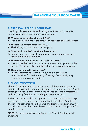# 7. FREE AVAILABLE CHLORINE (FAC)

Healthy pool water is achieved by using a sanitizer to kill bacteria, control algae and destroy organic contaminants.

### Q: What is free available chlorine (FAC)?

A: Free available chlorine is the amount of active sanitizer in the water.

### Q: What is the correct amount of FAC?

A: The FAC in your pool should be 1–4 ppm.

### Q: Why should the FAC be within these levels?

A: Below 1 ppm can cause algae problems, cloudy water, swimmer rashes and bacteria problems.

### Q: What should I do if the FAC is less than 1 ppm?

A: Just add poolife<sup>®</sup> sanitizer or shock treatments until you reach the desired FAC level. Follow label directions for dosage guidelines.

# Q: How often should I test for FAC?

A: Lonza recommends testing daily, but always check your local quidelines for the frequency of testing. Every locality may have different recommendations.

# 8. SHOCK TREATMENT

Shock. Shock treat. Shock treatment. Each of these terms means the addition of chlorine to pool water in larger than normal amounts. Shock treating your pool is of the utmost importance because it protects you and your family from bacteria and organic contaminants.

A shock treatment adds 5–10 ppm FAC. This concentrated blast helps prevent and correct most common pool water problems. You should shock your pool water while the pump and filter are in operation. After a shock treatment, check to make sure the FAC level is 1–4 ppm before entering the pool.

NOTE: For best results always adjust pH to 7.2 to 7.6 before shock treatment.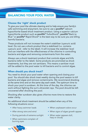# Choose the 'right' shock product

To give your pool the ultimate cleaning and to help ensure your family's safe swimming and enjoyment, be sure to use a **poolife®** calcium hypochlorite based shock treatment product. Using a superior calcium hypochlorite product such as **poolife®** TurboShock®, poolife® Back to Blue<sup>™</sup> or **poolife®** Rapid Shock® is the best way to be sure you are killing harmful bacteria.

These products will not increase the water's stabilizer (cyanuric acid) level. Do not use a shock product that is stabilized (i.e. contains cyanuric acid - refer to the label). It will increase the stabilizer level and can interfere with the effectiveness of the chlorine in controlling bacteria and algae and removing contaminants from the water.

Always use a shock treatment product that controls algae and kills bacteria (refer to the label). Some products are promoted as shock treatments, but they are not sanitizers. This means a sanitizer must still be added to the pool water to kill bacteria and to control algae.

# When should you shock treat?

You need to shock your pool water when opening and closing your pool. You should also shock treat weekly during the pool season to kill bacteria and algae and remove contaminants. We recommend shocking at the same time and on the same day each week. The optimum time to shock your pool is sundown. At this time of the day, the chlorine can work without fighting the sun's ultraviolet rays. The pool should be left uncovered after shocking the pool.

Shocking after sundown also gives chlorine more time to restore the water clarity.

An additional shock treatment should be added when any of the following situations occur:

- After heavy swimmer loads
- After strong rains and wind
- During periods of extreme sunlight
- When swimmers complain of burning eyes



- When unpleasant odors occur
- When signs of algae growth appear
- When water appears dull, hazy or cloudy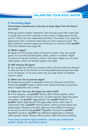# 9. Preventing Algae

# Preventative maintenance is the key to keep algae from forming in your pool.

Nothing creates a better impression than having a pool with water that is crystal clear and with a sparkle on the surface. If algae gets into the pool or if there are tiny suspended particles in the water, it can spoil the appearance and in extreme cases stop you from using your pool. The best method to prevent algae from forming is to use one of the **poolife**<sup>®</sup> Pool Care Systems (see page 20).

### Q: What is algae?

A: Algae are microscopic plants that grow in water. They are usually green, but can also be blue-green, black, yellow or mustard. Algae can grow on the pool surface or float in the water. Algae can turn pool water green, which can literally happen overnight.

### Q: Will chlorine kill algae?

A: Yes, usually. But there are occasions when chlorine levels are allowed to drop too low or the chlorine is not acting effectively because the water is out of balance, or the pool water has very high levels of stabilizer (cyanuric acid).

### Q: What can I do to prevent algae?

A: Always ensure there is adequate chlorine in the pool at all times. Follow the **poolife<sup>®</sup>** system—shock treat weekly and add a preventive dose of algaecide once a week.

### Q: What can I do once the algae has taken hold?

A: If this happens, use **poolife<sup>®</sup> Back to Blue<sup>®</sup> Shock System, which** can restore water clarity in 24 hours. To treat common algae like green and yellow, use poolife® Algae Bomb® 30, poolife® Defend+® or poolife® Super Algae Bomb® 60 algaecides, which, when used in conjunction with a poolife® shock product, cleans up both green and yellow algae. Mustard and black algae are more difficult to remove, so we recommend using poolife® AlgaeBan II product or poolife® AlgaeKill II product. poolife® has additional algaecides to address other specific needs. Always follow product label directions carefully.

If you have persistent algae problems, consult your Authorized poolife® Dealer for specialized advice.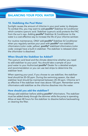# 10. Stabilizing the Pool Water

Sunlight causes the amount of chlorine in your pool water to dissipate. To combat this, you may want to add poolife<sup>®</sup> Stabilizer & Conditioner which contains cyanuric acid. Stabilizer (cyanuric acid) protects the FAC from the sun's rays. Adding **poolife<sup>®</sup>** Stabilizer & Conditioner to the water is a cost-effective way to increase the life of your chlorine sanitizer.

For routine maintenance, ONLY add poolife<sup>®</sup> Stabilizer & Conditioner when you regularly sanitize your pool with **poolife®** non-stabilized chlorinators (color code: yellow). poolife® stabilized chlorinators (color code: orange) have a built-in stabilizer. The stabilizer is released when the chlorinator is dissolved.

# When Should the Stabilizer be Added?

The cyanuric acid level and the climate determine whether you need to add stabilizer to your pool. You should take a sample of your pool water to your Authorized poolife® Dealer for a detailed analysis and recommendation or you can use test strips to determine the stabilizer level.

When opening your pool, if you choose to use stabilizer, the stabilizer level should be 20–50 ppm. During the swimming season, the ideal stabilizer level should be maintained between 20–50 ppm. Chlorine isn't as effective if the stabilizer level rises above 100 ppm. Remember some chlorinators add stabilizer as the chlorine dissolves into the water.

# How should you add the stabilizer?

Always add stabilizer before adding poolife® chlorinators. The stabilizer must be added slowly through the skimmer while the pump is operating. Allow at least 48 hours for the stabilizer to dissolve before backwashing or cleaning the filter.

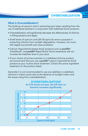# What is Overstabilization?

The build-up of cyanuric acid in swimming pool water resulting from the use of stabilized sanitizers in conjunction with stabilized shock products.

- Overstabilization will significantly decrease the effectiveness of chlorine in killing bacteria and algae.
- Small levels of cyanuric acid (20–50 ppm) do serve a purpose in protecting chlorine from sunlight degradation. However, too much will negate any benefit and cause problems.
- Calcium Hypochlorite-based shock products such as **poolife**<sup>®</sup> TurboShock®, and poolife® Rapid Shock® shock treatments will not increase the stabilizer level in your pool.
- If your choice of primary sanitizer is a stabilized chlorine product, we recommend that you use a **poolife<sup>®</sup>** calcium hypochlorite shock product as your routine shock treatment. (Check the active ingredient statement on the product label).

**OVERSTABILIZATION** 

Generally it is not recommended to use any stabilizer or stabilized chlorine in indoor pools due to the absence of sunlight indoor and the issues rising from overstabilization.

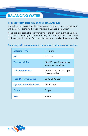# BALANCING WATER

# THE BOTTOM LINE ON WATER BALANCING

You will be more comfortable in the water, and your pool and equipment will be better protected, if you maintain balanced pool water.

Keep the pH, total alkalinity (remember the effect of cyanuric acid on the true TA reading), calcium hardness, and total dissolved solids within their acceptable ranges (see table below), and totally eliminate metals.

# Summary of recommended ranges for water balance factors

| <b>Chlorine (FAC)</b>             | $1-4$ ppm                                      |
|-----------------------------------|------------------------------------------------|
| рH                                | $7.2 - 7.6$                                    |
| <b>Total Alkalinity</b>           | 60-120 ppm (depending<br>on primary sanitizer) |
| <b>Calcium Hardness</b>           | 200-500 (up to 1000 ppm<br>is acceptable)      |
| <b>Total Dissolved Solids</b>     | up to 2000 ppm                                 |
| <b>Cyanuric Acid (Stabilizer)</b> | 20-50 ppm                                      |
| <b>Copper</b>                     | 0 ppm                                          |
| Iron                              | U ppm                                          |

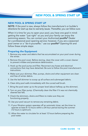# NEW POOL & SPRING START UP

# NEW POOL & SPRING START UP

NOTE: If the pool is new, always follow the manufacturer's or builder's directions for start-up due to warranty issues. Thereafter, you can follow ours:

When it is time for you to open your pool, you have one goal in mind: getting the water "just right" so you and your family can enjoy the swimming season. You can contact your Authorized **poolife®** Dealer for a professional pool opening service; however, if you are a seasoned pool owner or a "do-it-yourselfer," use our **poolife®** Opening Kit and follow these simple steps:

### Preparing the Equipment

- 1. Remove any water and debris that has accumulated on your pool cover during the winter.
- 2. Remove the pool cover. Before storing, clean the cover with a cover cleaner to prevent mildew and premature deterioration.
- 3. Hook up the pool pump and filter. Reconnect any hoses and electrical connections that may have detached. Be sure to follow the pool manufacturer's instructions.
- 4. Make sure your skimmer, filter, pumps, drains and other equipment are clean and free of winter debris.
- 5. Use the leaf skimmer to scoop up all surface and submerged debris.
- 6. Clean dirty pool walls immediately with the curved wall brush.
- 7. Bring the pool water up to the proper level (about halfway up the skimmer).
- 8. Turn on your filter pump. (Chemically clean the filter if it was not chemically cleaned last fall).
- 9. Check the skimmers, drains and filters to make sure they are functioning properly.
- 10. Use your pool vacuum to remove any remaining debris.
- 11. If your filtration system operates off an automatic timer, set the timer to operate at least 8–12 hours within a 24-hour period during the summer (12 hours is optimum).
- 12. Allow the water to circulate for at least 12 hours before preparing the pool water.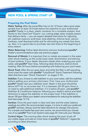# NEW POOL & SPRING START UP

# Preparing the Pool Water

Water Testing: After the pump/filter has run for 12 hours, take a pool water sample from at least 18 inches below the waterline to your Authorized poolife® Dealer in a clean, plastic container for a complete analysis. And thanks to the ClearCare® Expert—our cutting-edge water analysis system that delivers clarity — you can expect detailed instructions for adjusting pH, stabilizer (cyanuric acid) level, total alkalinity, chlorine level, calcium hardness, total dissolved solids and for eliminating any metals that show up. Also, it is a good idea to purchase new test strips at the beginning of every season.

Water Balancing: Follow label directions and your Authorized poolife<sup>®</sup> Dealer's recommendations (also see previous pages).

Removal of Metals: It is important that no metals are present in the water when shock treating, as this could cause water discoloration and staining of pool surfaces. If your dealer discovers metals when analyzing your pool water, add **poolife®** Stain Stop, following label directions, before shock treating. Wait 24 hours before proceeding with balancing your pool water.

Shock Treat: After the sun goes down and while the filter is still operating, shock treat the water with poolife® TurboShock® Shock Treatment following label directions (see "Shock Treatment" on pages 9-10).

Stabilize: If you choose to add stabilizer to your pool water, add the stabilizer before adding your primary chlorinator. First, have your Authorized poolife® Dealer test your stabilizer level. Water in the pool should be above 65°F for an accurate test. If it is between 20–50 ppm there is no need to add additional stabilizer; if it is below 20 ppm, add **poolife®** Stabilizer & Conditioner balancer following your dealer's advice and label directions to adjust the stabilizer to the proper level. If the stabilizer is above 100 ppm follow your dealer's recommendations for reducing the stabilizer level (see page 12-13).

Sanitize: Once the pool water is clean and clear and the water balance readings are within the recommended ranges, it is time to add your preferred poolife® sanitizer, (always read the label directions for dosage instructions). For a simple and hassle-free pool care routine, we recommend you choose one of our poolife® Pool Care Systems (see page 20) that suits your lifestyle.

Control Algae: The morning after shock treating the pool, brush off any visible algae and add an initial dose of poolife® Defend+® algaecide according to label directions.

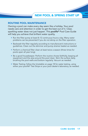# NEW POOL & SPRING START UP

# ROUTINE POOL MAINTENANCE

Owning a pool can make every day seem like a holiday. Your pool needs care and attention in order to get the best out of it. Clear, sparkling water does not just happen. This poolife® Pool Care Guide will help you achieve that brilliant water quality.

- Run the filter pump at least 8–12 continuous hours a day. Many water problems can be prevented if you do not skimp on the filter operation.
- Backwash the filter regularly according to manufacturer's instructions or guidelines. Clean out the skimmer and pump strainer basket as needed.
- Perform a chemical filter clean at least twice a season (three times for pools open all year long).
- Be a good housekeeper. Perform the routine chores faithfully, keeping all equipment and the area around the pool clean. Skim the surface daily, brushing the pool walls and bottom regularly. Vacuum as needed.
- Water Testing: follow the timetable on page 18 for water testing, using either your poolife® Test Strips or your pool dealer's laboratory, as needed.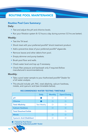# ROUTINE POOL MAINTENANCE

# Routine Pool Care Summary:

### Daily:

- Test and adjust the pH and chlorine levels.
- Run your filtration system 8–12 hours a day during summer (12 hrs are better).

### Weekly:

- Test the TA level.
- Shock treat with your preferred poolife® shock treatment product.
- Add a preventive dose of your preferred poolife<sup>®</sup> algaecide.
- Remove leaves and other debris from pool.
- Empty skimmer and pump baskets.
- Brush pool floor and walls.
- Check water level and top up if necessary.
- Check filter pressure and backwash only if required (follow manufacturer's recommendations).

### Monthly:

- Take a pool water sample to your Authorized poolife® Dealer for a full water analysis.
- This should include: pH, FAC, total alkalinity, calcium hardness, metals, and cyanuric acid (see timetable below).

### RECOMMENDED WATER TESTING TIMETABLE

|                                   | <b>Daily</b>       | <b>Monthly</b> | <b>Open/Closing</b> |
|-----------------------------------|--------------------|----------------|---------------------|
| рH                                |                    |                |                     |
| <b>Chlorine</b>                   |                    |                |                     |
| <b>Total Alkalinity</b>           | <b>Test Weekly</b> |                |                     |
| <b>Calcium Hardness</b>           |                    |                |                     |
| <b>Total Dissolved Solids</b>     |                    |                |                     |
| <b>Metals</b>                     |                    |                |                     |
| <b>Cyanuric Acid (Stabilizer)</b> |                    |                |                     |

**Example 3 Feated by Pool Owner** 

 $\bigcirc$  = Tested by Authorized poolife® Dealer

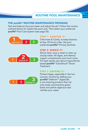# ROUTINE POOL MAINTENANCE

# THE poolife® ROUTINE MAINTENANCE PROGRAM

Test and balance the pool water and adjust the pH. Follow the routine outlined below for hassle free pool care. Then select your preferred poolife® Pool Care System (see page 20).



### at bay, 24 hours a day. Use your preferred poolife® Primary Sanitizer.



# STEP 2: SHOCK IT!

Shock treat, once a week to clear up cloudy water, kill algae, and destroy organic contaminants and much more. For best results use calcium hypochlorite based poolife® TurboShock® Shock **Treatment** 

### STEP 3: DEFEND IT!



Prevent algae, especially in the hot summer months by adding your poolife® Defend+® algaecide, a non-foaming product that not only treats and prevents green, black and yellow algae,but also clarifies your water.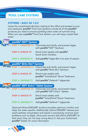# POOL CARE SYSTEMS

# SYSTEMS – EASY AS 1-2-3

Leave the complicated decision-making at the office and escape to your own backyard. poolife® Pool Care Systems include all of the poolife® products you need to ensure sparkling-clean water all summer long. When you use a poolife® Pool Care System, you will enjoy crystal-clear water.

| poolife® NST® System              |                                                                                                           |  |  |
|-----------------------------------|-----------------------------------------------------------------------------------------------------------|--|--|
| TEP 1: SANITIZE IT!               | Chlorinate and clarify, and prevent algae<br>with poolife <sup>®</sup> NST <sup>®</sup> Sanitizer.        |  |  |
| <b>STEP 2: SHOCK IT!</b>          | Shock treat weekly with <b>poolife</b> <sup>®</sup><br>Quick Swim Oxidizer.                               |  |  |
| <b>STEP 3: DEFEND IT!</b>         | Add poolife <sup>®</sup> Algae Ban II at start of season.                                                 |  |  |
| poolife® Brite Stix® System       |                                                                                                           |  |  |
| <b>TFP 1: SANITIZE IT!</b>        | Chlorinate and clarify, and prevent algae<br>with poolife <sup>®</sup> Brite Stix <sup>®</sup> Sanitizer. |  |  |
| <b>STEP 2: SHOCK IT!</b>          | Shock treat weekly with<br>poolife <sup>®</sup> TurboShock <sup>®</sup> Shock Treatment.                  |  |  |
| <b>STEP 3: DEFEND IT</b>          | Add poolife® Defend+® algaecide.                                                                          |  |  |
| poolife® MPT Extra™ Tablet System |                                                                                                           |  |  |
| <b>STEP 1: SANITIZE IT!</b>       | Chlorinate and clarify, and prevent algae<br>with poolife® MPT Extra™ tablets.                            |  |  |
| <b>STEP 2: SHOCK IT!</b>          | Shock treat weekly with<br>poolife <sup>®</sup> TurboShock <sup>®</sup> Shock Treatment.                  |  |  |
| FEP 3: DEFEND                     | Add poolife <sup>®</sup> Defend+ <sup>®</sup> algaecide.                                                  |  |  |

Optional Ultima ENDURE® product provides optimum comfort and helps the water sparkle. Additionally, Ultima ENDURE® reduces your pool's sanitizer consumption and assists in preventing common pool problems such as algae. Once pool owners add Ultima ENDURE® to their pool, they can not stop raving about it. Ask your Authorized poolife® Dealer for more information.

.

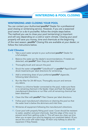# WINTERIZING & POOL CLOSING

# WINTERIZING AND CLOSING YOUR POOL

You can contact your Authorized poolife<sup>®</sup> Dealer for a professional pool closing or winterizing service. However, if you are a seasoned pool owner or a do-it-yourselfer, follow the simple steps below. The method you use to close your pool (winterizing) is important and will vary depending on a cold or warm climate. Closing your pool properly will save you money, time and chemicals at the beginning of the next season. poolife<sup>®</sup> Closing Kits are available at your dealer; or follow the instructions below.

# Cold Climates

- 1. Take a pool water sample to your authorized **poolife<sup>®</sup>** Dealer for a full analysis.
- 2. Balance the water per the dealer's recommendations. If metals are detected, add **poolife<sup>®</sup>** Stain Stop per label directions.
- 3. Thoroughly brush and vacuum the pool.
- 4. Shock the water withpoolife<sup>®</sup> TurboShock<sup>®</sup> or poolife<sup>®</sup> Rapid Shock<sup>®</sup> shock treatments per label directions for winterizing.
- 5. Add a winterizing dose of your preferred **poolife<sup>®</sup>** algaecide, following label directions.
- 6. Run the filter for 24–48 hours. Thoroughly vacuum and remove any debris.
- 7. If there is a chlorine feeder connected to the pool, make sure there is no remaining chemical in the feeder. Clean and flush the feeder per manufacturer's directions or run filter until all remaining chemical has been dissolved.
- 8. Clean the filter with **poolife<sup>®</sup>** Filter Cleaner per label directions.
- 9. Follow pool manufacturer's directions on draining the pool so that the water level is below the skimmers and inlet lines.
- 10. Winterize all equipment following the manufacturer's directions.
- 11. Cover pool with properly fitting pool cover. Cover should be resistant to water, weather and pool chemicals. Seal the edge of the cover to prevent wind from getting under it. This will save you clean-up time when you re-open your pool by keeping out unwanted debris. (If you secure the cover with water bags, fill them only halfway to allow for expansion if they freeze).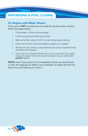# WINTERIZING & POOL CLOSING

# For Regions with Milder Winters

If the pool is **NOT** covered and not used during the winter months, follow the steps below:

- 1. Follow steps 1–8 from previous page.
- 2. Continue good pool cleaning practices.
- 3. Reduce the filter cycle to half of its swimming season setting.
- 4. Clean the skimmer and pump baskets weekly or as needed.
- 5. Monitor the pH, chlorine, total alkalinity and calcium hardness levels and adjust as necessary.
- 6. If you have an automatic feeder set it on low and check the supply every 2–3 weeks. Follow the recommendation of your Authorized poolife<sup>®</sup> Dealer.

NOTE: Even if your pool is not completely closed, we recommend a cover for keeping out debris, but remember to adjust the pH and shock the pool before you cover it.

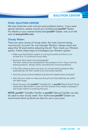SOLUTION CENTER

# POOL SOLUTION CENTER

We have listed the most common pool problems below - if you need special attention, please consult your professional poolife® Dealer. For details on your nearest Authorized poolife® Dealer, visit us on the web at www.poolife.com.

# Cloudy Water:

There are many causes of cloudy water, the most common being incorrect pH, incorrect TA, and improper filtration. Always check and adjust the TA levels before adjusting the pH. Then check your filtration system. Follow these steps to investigate your filtration system:

- Make sure the filtration system is running smoothly and that it runs at least 8 to 12 continuous hours daily.
- Does the filter need to be backwashed? The filter needs to be backwashed if the pressure is 8 to 10 psi over the starting pressure. Always follow manufacturer's recommendations.
- If the filter pressure does not return to normal starting pressure after backwashing, the filter needs to be chemically cleaned.
- Have the pump strainer baskets and skimmer baskets been emptied?
- Also test your water to make sure the pH and total alkalinity are within the ideal range.
- Shock the pool with **poolife®** TurboShock® or **poolife®** Rapid Shock® shock treatments. Remember to wait until the chlorine level drops to between 1 and 4 ppm before re-entering the pool.

NOTE: poolife® TurboBlu Clarifier or poolife® Natural Clarifier can also be used to clear cloudy water. Your Authorized poolife® Dealer can recommend which products are best for use in your pool.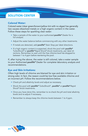# SOLUTION CENTER

# Colored Water:

Colored water (clear green/brown/yellow tint with no algae) has generally two causes–dissolved metals or a high organic content in the water. Follow these steps for sparkling clear water:

- Take a sample of the water to your authorized **poolife<sup>®</sup> Dealer for a** full analysis.
- Adjust the water balance before commencing with any other treatments.
- If metals are detected, add **poolife**® Stain Stop per label directions.
- If a high organic content is suspected, shock the pool with **poolife**<sup>®</sup> TurboShock<sup>®</sup> or **poolife®** Rapid Shock® shock treatments, per label directions. Remember to wait until the free chlorine level has dropped to between 1 to 4 ppm before reentering the pool.

If, after trying the above, the water is still colored, take a water sample to your Authorized poolife® Dealer for complete laboratory analysis and recommendations.

# Eye and Skin Irritations:

Often high levels of chlorine are blamed for eye and skin irritation or strong odor. In fact, the reason could be low free available chlorine and an incorrect pH. Follow the recommendations below.

- Check pH and alkalinity levels and adjust as necessary.
- Shock the pool with **poolife®** TurboShock®, **poolife®** or **poolife®** Rapid Shock® shock treatments.
- Once you have done this, remember to re-check the pH and total alkalinity levels and re-adjust if necessary.
- Remember to always keep the chlorine levels between 1 to 4 ppm.

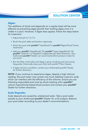SOLUTION CENTER

# Algae:

The additions of shock and algaecide on a regular basis will be more effective at preventing algae growth than treating algae once it is visible in a pool. However, if algae does appear, follow the steps below for treatment:

- Adjust the pH to 7.2–7.4.
- Brush the pool sides and bottom vigorously.
- Shock the pool with **poolife®** TurboShock® or **poolife®** Rapid Shock® shock treatments.
- Add your **poolife®** AlgaeBomb® 30, **poolife®** Super AlgaeBomb® 60, poolife® Defend+® or AlgaeKill II algaecides per label directions. Your Authorized **poolife<sup>®</sup>** Dealer can recommend which product is best for your pool.
- Run the filter continually until algae is gone, brushing and vacuuming frequently. Chemically clean your filter with poolife® Filter Cleaner.
- If algae remains a problem, contact your Authorized poolife® Dealer for further directions.

NOTE: If you continue to experience algae, despite a high chlorine reading, the pool water may contain too much stabilizer (cyanuric acid), which can interfere with the efficiency of the chlorine. Ensure you are following responsible pool care by shock-treating with a **poolife**<sup>®</sup> calcium hypochlorite-based shock product and contact your poolife<sup>®</sup> Dealer for further directions.

# Scale Deposits:

Scale deposits are caused by unbalanced water. Take a pool water sample to your Authorized **poolife<sup>®</sup> Dealer for a full analysis. Balance** your pool water according to your dealer's recommendations.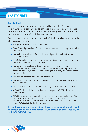# SAFETY FIRST

# Safety First

We are committed to your safety "In and Beyond the Edge of the Pool." While no pool care guide can take the place of common sense and precaution, we recommend following these guidelines in order to help you and your family safely enjoy your pool.

For more safety tips contact your **poolife<sup>®</sup>** dealer or visit us on the web at www.poolife.com.

- Always read and follow label directions.
- Read first-aid procedures & precautionary statements on the product label before use.
- Keep all chemicals away from children and pets. Most chemicals are harmful if swallowed.
- Carefully seal all containers tightly after use. Store pool chemicals in a cool, dry, well-ventilated area under cover.
- Keep pool chemicals away from moisture, garbage, dirt, chemicals (including other pool chemicals), household products, soap products, paint products, solvents, acids, vinegar, beverages, oils, dirty rags or any other foreign matter.
- NEVER use contents of unlabeled containers.
- **NEVER** mix different types of pool chemicals— add each chemical to the pool separately.
- Use separate, clean utensils and measuring cups for each pool chemical.
- ALWAYS add pool chemicals directly to the pool. NEVER add water to chemicals.
- NEVER return spilled materials to the original container or dispose of in the trash. Clean up the spill in place and add to pool water. DO NOT THROW IN THE TRASH. Call us toll free at 1.866.4 Pool.Fun (1.866.4.7665.386) for further assistance.

If you have any questions about how to store and handle pool chemical products, contact your Authorized poolife Dealer, or call 1-800-253-9140.

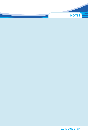